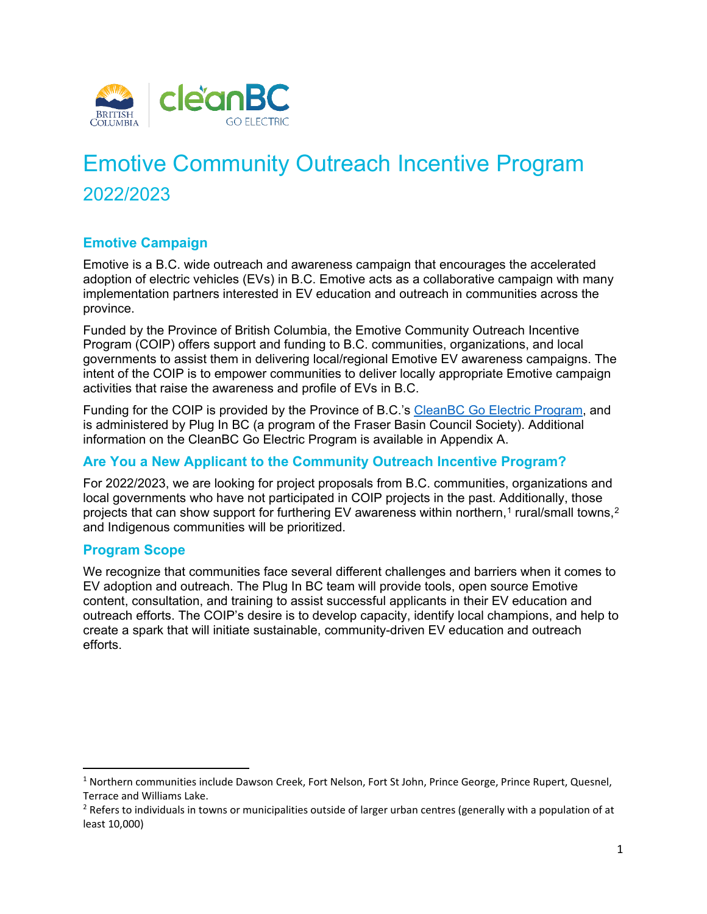

# Emotive Community Outreach Incentive Program 2022/2023

# **Emotive Campaign**

Emotive is a B.C. wide outreach and awareness campaign that encourages the accelerated adoption of electric vehicles (EVs) in B.C. Emotive acts as a collaborative campaign with many implementation partners interested in EV education and outreach in communities across the province.

Funded by the Province of British Columbia, the Emotive Community Outreach Incentive Program (COIP) offers support and funding to B.C. communities, organizations, and local governments to assist them in delivering local/regional Emotive EV awareness campaigns. The intent of the COIP is to empower communities to deliver locally appropriate Emotive campaign activities that raise the awareness and profile of EVs in B.C.

Funding for the COIP is provided by the Province of B.C.'s [CleanBC Go Electric Program,](https://www2.gov.bc.ca/gov/content/industry/electricity-alternative-energy/transportation-energies/clean-transportation-policies-programs/clean-energy-vehicle-program) and is administered by Plug In BC (a program of the Fraser Basin Council Society). Additional information on the CleanBC Go Electric Program is available in Appendix A.

# **Are You a New Applicant to the Community Outreach Incentive Program?**

For 2022/2023, we are looking for project proposals from B.C. communities, organizations and local governments who have not participated in COIP projects in the past. Additionally, those projects that can show support for furthering EV awareness within northern,<sup>[1](#page-0-0)</sup> rural/small towns,<sup>[2](#page-0-1)</sup> and Indigenous communities will be prioritized.

## **Program Scope**

We recognize that communities face several different challenges and barriers when it comes to EV adoption and outreach. The Plug In BC team will provide tools, open source Emotive content, consultation, and training to assist successful applicants in their EV education and outreach efforts. The COIP's desire is to develop capacity, identify local champions, and help to create a spark that will initiate sustainable, community-driven EV education and outreach efforts.

<span id="page-0-0"></span><sup>&</sup>lt;sup>1</sup> Northern communities include Dawson Creek, Fort Nelson, Fort St John, Prince George, Prince Rupert, Quesnel, Terrace and Williams Lake.

<span id="page-0-1"></span><sup>&</sup>lt;sup>2</sup> Refers to individuals in towns or municipalities outside of larger urban centres (generally with a population of at least 10,000)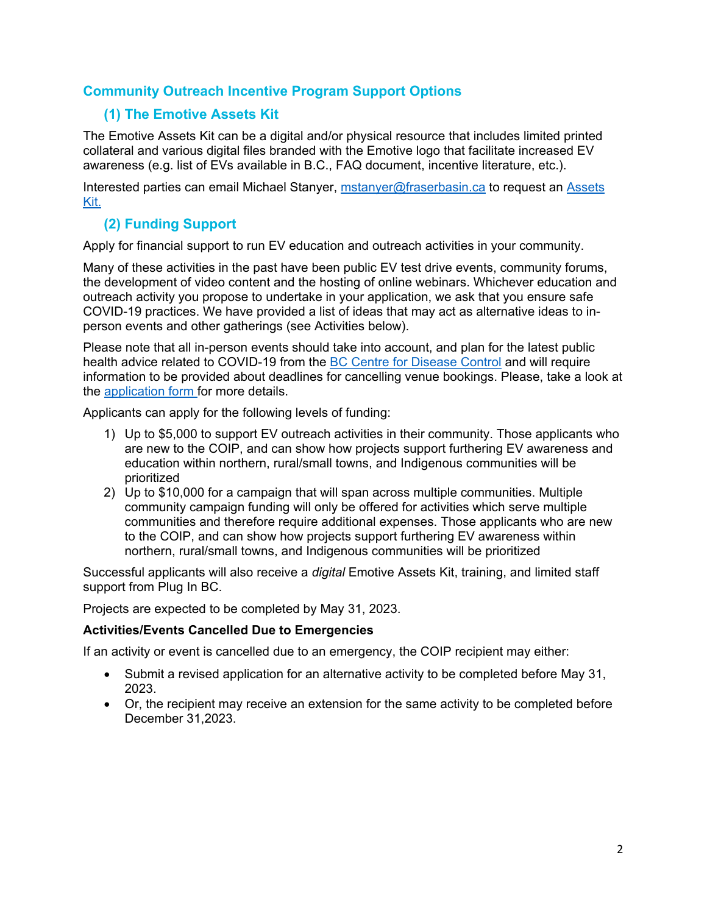# **Community Outreach Incentive Program Support Options**

# **(1) The Emotive Assets Kit**

The Emotive Assets Kit can be a digital and/or physical resource that includes limited printed collateral and various digital files branded with the Emotive logo that facilitate increased EV awareness (e.g. list of EVs available in B.C., FAQ document, incentive literature, etc.).

Interested parties can email Michael Stanyer, [mstanyer@fraserbasin.ca](mailto:mstanyer@fraserbasin.ca) to request an [Assets](https://pluginbc.ca/wp/wp-content/uploads/2021/03/Emotive-Assets-List.pdf) [Kit.](https://pluginbc.ca/wp/wp-content/uploads/2021/03/Emotive-Assets-List.pdf) 

# **(2) Funding Support**

Apply for financial support to run EV education and outreach activities in your community.

Many of these activities in the past have been public EV test drive events, community forums, the development of video content and the hosting of online webinars. Whichever education and outreach activity you propose to undertake in your application, we ask that you ensure safe COVID-19 practices. We have provided a list of ideas that may act as alternative ideas to inperson events and other gatherings (see Activities below).

Please note that all in-person events should take into account, and plan for the latest public health advice related to COVID-19 from the [BC Centre for Disease Control](http://www.bccdc.ca/health-info/diseases-conditions/covid-19/event-planning) and will require information to be provided about deadlines for cancelling venue bookings. Please, take a look at the [application form f](https://fraserbasin.limequery.com/634959?lang=en)or more details.

Applicants can apply for the following levels of funding:

- 1) Up to \$5,000 to support EV outreach activities in their community. Those applicants who are new to the COIP, and can show how projects support furthering EV awareness and education within northern, rural/small towns, and Indigenous communities will be prioritized
- 2) Up to \$10,000 for a campaign that will span across multiple communities. Multiple community campaign funding will only be offered for activities which serve multiple communities and therefore require additional expenses. Those applicants who are new to the COIP, and can show how projects support furthering EV awareness within northern, rural/small towns, and Indigenous communities will be prioritized

Successful applicants will also receive a *digital* Emotive Assets Kit, training, and limited staff support from Plug In BC.

Projects are expected to be completed by May 31, 2023.

#### **Activities/Events Cancelled Due to Emergencies**

If an activity or event is cancelled due to an emergency, the COIP recipient may either:

- Submit a revised application for an alternative activity to be completed before May 31, 2023.
- Or, the recipient may receive an extension for the same activity to be completed before December 31,2023.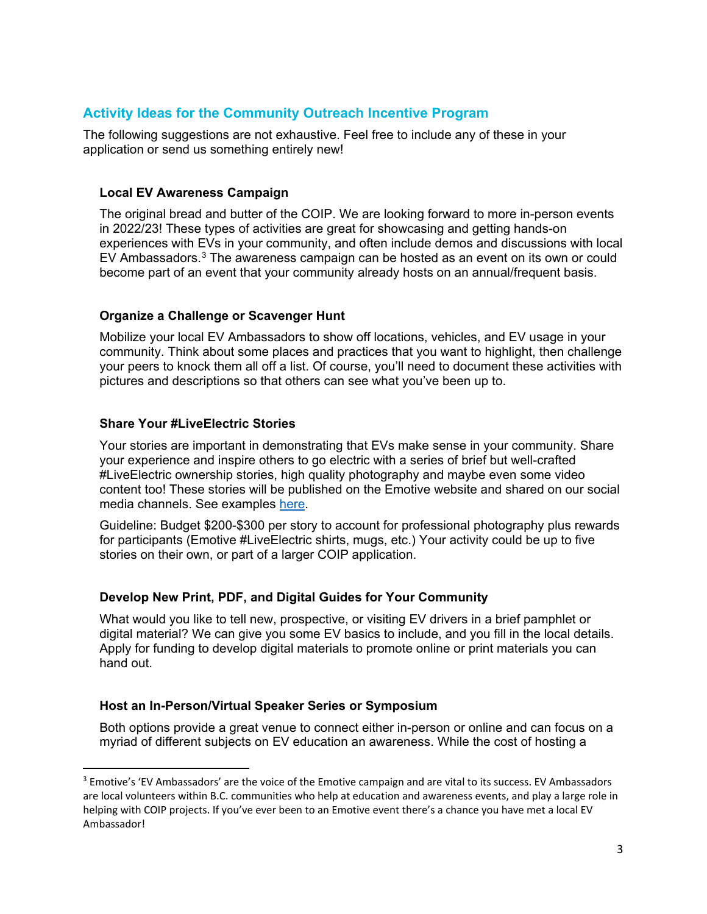# **Activity Ideas for the Community Outreach Incentive Program**

The following suggestions are not exhaustive. Feel free to include any of these in your application or send us something entirely new!

#### **Local EV Awareness Campaign**

The original bread and butter of the COIP. We are looking forward to more in-person events in 2022/23! These types of activities are great for showcasing and getting hands-on experiences with EVs in your community, and often include demos and discussions with local EV Ambassadors.[3](#page-2-0) The awareness campaign can be hosted as an event on its own or could become part of an event that your community already hosts on an annual/frequent basis.

#### **Organize a Challenge or Scavenger Hunt**

Mobilize your local EV Ambassadors to show off locations, vehicles, and EV usage in your community. Think about some places and practices that you want to highlight, then challenge your peers to knock them all off a list. Of course, you'll need to document these activities with pictures and descriptions so that others can see what you've been up to.

#### **Share Your #LiveElectric Stories**

Your stories are important in demonstrating that EVs make sense in your community. Share your experience and inspire others to go electric with a series of brief but well-crafted #LiveElectric ownership stories, high quality photography and maybe even some video content too! These stories will be published on the Emotive website and shared on our social media channels. See examples [here.](http://www.emotivebc.ca/blog)

Guideline: Budget \$200-\$300 per story to account for professional photography plus rewards for participants (Emotive #LiveElectric shirts, mugs, etc.) Your activity could be up to five stories on their own, or part of a larger COIP application.

#### **Develop New Print, PDF, and Digital Guides for Your Community**

What would you like to tell new, prospective, or visiting EV drivers in a brief pamphlet or digital material? We can give you some EV basics to include, and you fill in the local details. Apply for funding to develop digital materials to promote online or print materials you can hand out.

#### **Host an In-Person/Virtual Speaker Series or Symposium**

Both options provide a great venue to connect either in-person or online and can focus on a myriad of different subjects on EV education an awareness. While the cost of hosting a

<span id="page-2-0"></span><sup>&</sup>lt;sup>3</sup> Emotive's 'EV Ambassadors' are the voice of the Emotive campaign and are vital to its success. EV Ambassadors are local volunteers within B.C. communities who help at education and awareness events, and play a large role in helping with COIP projects. If you've ever been to an Emotive event there's a chance you have met a local EV Ambassador!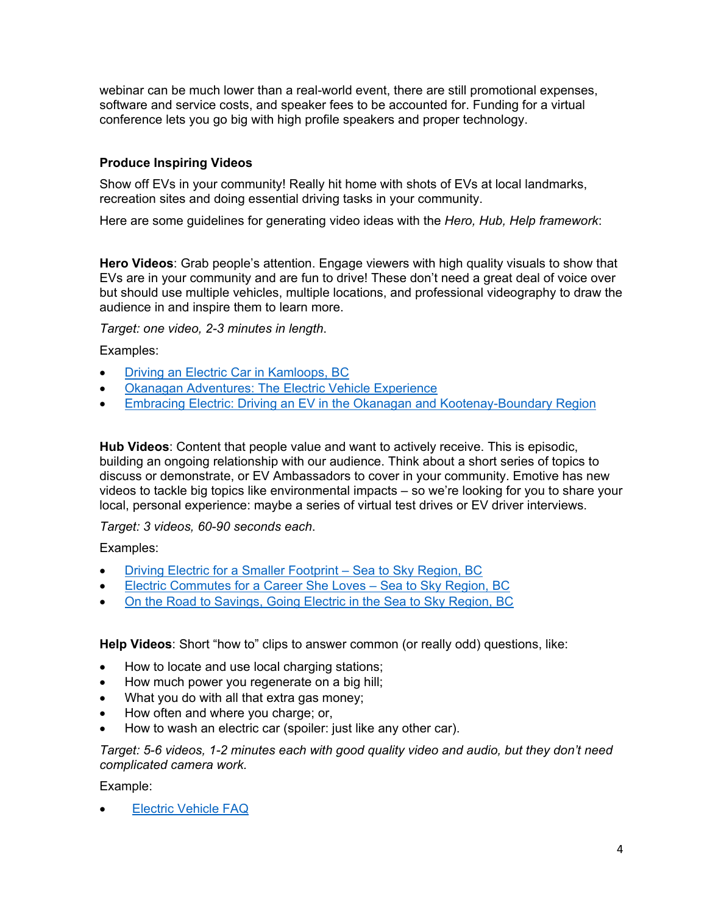webinar can be much lower than a real-world event, there are still promotional expenses, software and service costs, and speaker fees to be accounted for. Funding for a virtual conference lets you go big with high profile speakers and proper technology.

### **Produce Inspiring Videos**

Show off EVs in your community! Really hit home with shots of EVs at local landmarks, recreation sites and doing essential driving tasks in your community.

Here are some guidelines for generating video ideas with the *Hero, Hub, Help framework*:

**Hero Videos**: Grab people's attention. Engage viewers with high quality visuals to show that EVs are in your community and are fun to drive! These don't need a great deal of voice over but should use multiple vehicles, multiple locations, and professional videography to draw the audience in and inspire them to learn more.

*Target: one video, 2-3 minutes in length*.

Examples:

- [Driving an Electric Car in Kamloops, BC](https://www.youtube.com/watch?v=-2fUC9E59DI)
- [Okanagan Adventures: The Electric Vehicle Experience](https://www.youtube.com/watch?v=kxwxH_NnCO4)
- [Embracing Electric: Driving an EV in the Okanagan and Kootenay-Boundary Region](https://www.youtube.com/watch?v=ZVO-yZRJhCU)

**Hub Videos**: Content that people value and want to actively receive. This is episodic, building an ongoing relationship with our audience. Think about a short series of topics to discuss or demonstrate, or EV Ambassadors to cover in your community. Emotive has new videos to tackle big topics like environmental impacts – so we're looking for you to share your local, personal experience: maybe a series of virtual test drives or EV driver interviews.

*Target: 3 videos, 60-90 seconds each*.

Examples:

- [Driving Electric for a Smaller Footprint Sea to Sky Region, BC](https://www.youtube.com/watch?v=-emWsUoWtrM)
- [Electric Commutes for a Career She Loves Sea to Sky Region, BC](https://www.youtube.com/watch?v=Lp8rDNrWceU)
- [On the Road to Savings, Going Electric in the Sea to Sky Region, BC](https://www.youtube.com/watch?v=2zmdLT03YE4)

**Help Videos**: Short "how to" clips to answer common (or really odd) questions, like:

- How to locate and use local charging stations;
- How much power you regenerate on a big hill;
- What you do with all that extra gas money;
- How often and where you charge; or,
- How to wash an electric car (spoiler: just like any other car).

*Target: 5-6 videos, 1-2 minutes each with good quality video and audio, but they don't need complicated camera work.* 

Example:

**[Electric Vehicle FAQ](https://www.youtube.com/watch?v=CNX5gDm9Crs&list=PLqDZH1HLKou-8bYE4FiEwSQx8axRkq3NC)**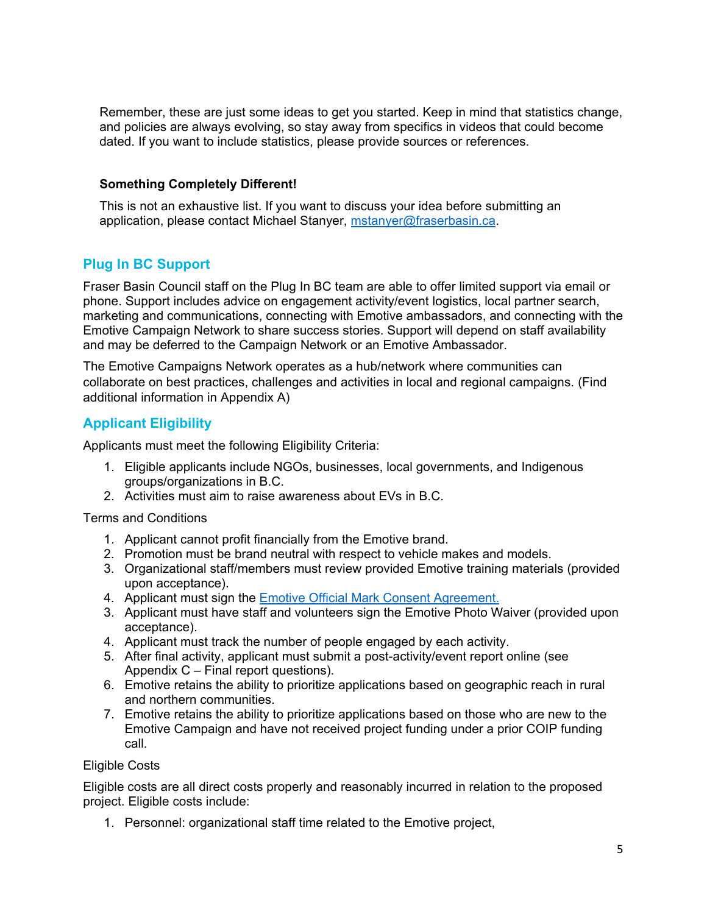Remember, these are just some ideas to get you started. Keep in mind that statistics change, and policies are always evolving, so stay away from specifics in videos that could become dated. If you want to include statistics, please provide sources or references.

## **Something Completely Different!**

This is not an exhaustive list. If you want to discuss your idea before submitting an application, please contact Michael Stanyer, [mstanyer@fraserbasin.ca.](mailto:mstanyer@fraserbasin.ca)

# **Plug In BC Support**

Fraser Basin Council staff on the Plug In BC team are able to offer limited support via email or phone. Support includes advice on engagement activity/event logistics, local partner search, marketing and communications, connecting with Emotive ambassadors, and connecting with the Emotive Campaign Network to share success stories. Support will depend on staff availability and may be deferred to the Campaign Network or an Emotive Ambassador.

The Emotive Campaigns Network operates as a hub/network where communities can collaborate on best practices, challenges and activities in local and regional campaigns. (Find additional information in Appendix A)

# **Applicant Eligibility**

Applicants must meet the following Eligibility Criteria:

- 1. Eligible applicants include NGOs, businesses, local governments, and Indigenous groups/organizations in B.C.
- 2. Activities must aim to raise awareness about EVs in B.C.

Terms and Conditions

- 1. Applicant cannot profit financially from the Emotive brand.
- 2. Promotion must be brand neutral with respect to vehicle makes and models.
- 3. Organizational staff/members must review provided Emotive training materials (provided upon acceptance).
- 4. Applicant must sign the **Emotive Official Mark Consent Agreement**.
- 3. Applicant must have staff and volunteers sign the Emotive Photo Waiver (provided upon acceptance).
- 4. Applicant must track the number of people engaged by each activity.
- 5. After final activity, applicant must submit a post-activity/event report online (see Appendix C – Final report questions).
- 6. Emotive retains the ability to prioritize applications based on geographic reach in rural and northern communities.
- 7. Emotive retains the ability to prioritize applications based on those who are new to the Emotive Campaign and have not received project funding under a prior COIP funding call.

#### Eligible Costs

Eligible costs are all direct costs properly and reasonably incurred in relation to the proposed project. Eligible costs include:

1. Personnel: organizational staff time related to the Emotive project,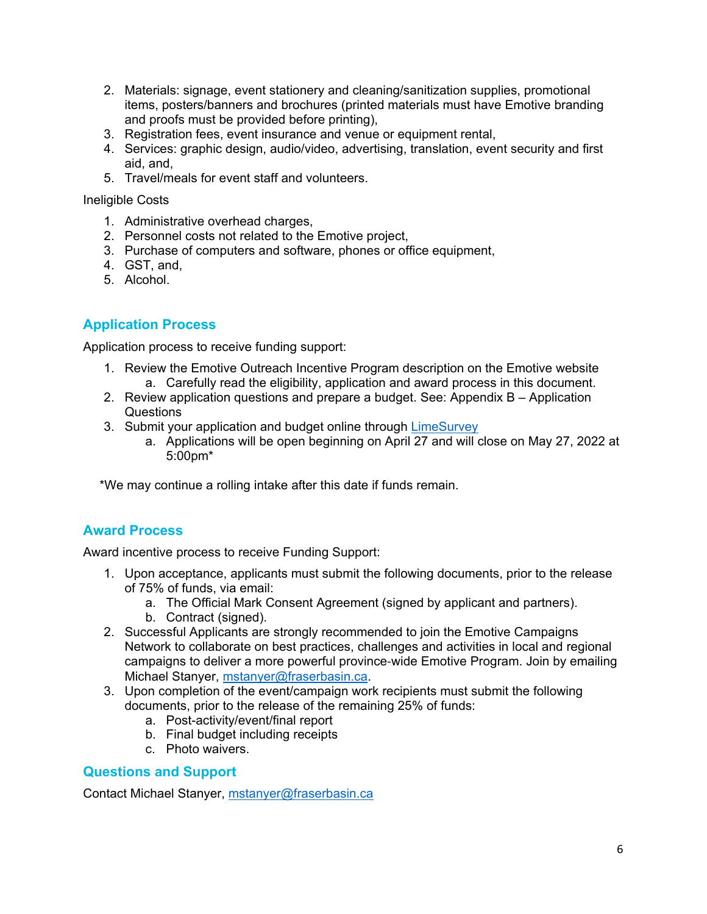- 2. Materials: signage, event stationery and cleaning/sanitization supplies, promotional items, posters/banners and brochures (printed materials must have Emotive branding and proofs must be provided before printing),
- 3. Registration fees, event insurance and venue or equipment rental,
- 4. Services: graphic design, audio/video, advertising, translation, event security and first aid, and,
- 5. Travel/meals for event staff and volunteers.

#### Ineligible Costs

- 1. Administrative overhead charges,
- 2. Personnel costs not related to the Emotive project,
- 3. Purchase of computers and software, phones or office equipment,
- 4. GST, and,
- 5. Alcohol.

# **Application Process**

Application process to receive funding support:

- 1. Review the Emotive Outreach Incentive Program description on the Emotive website a. Carefully read the eligibility, application and award process in this document.
- 2. Review application questions and prepare a budget. See: Appendix B Application Questions
- 3. Submit your application and budget online through [LimeSurvey](https://fraserbasin.limequery.com/634959?lang=en) 
	- a. Applications will be open beginning on April 27 and will close on May 27, 2022 at 5:00pm\*

\*We may continue a rolling intake after this date if funds remain.

## **Award Process**

Award incentive process to receive Funding Support:

- 1. Upon acceptance, applicants must submit the following documents, prior to the release of 75% of funds, via email:
	- a. The Official Mark Consent Agreement (signed by applicant and partners).
	- b. Contract (signed).
- 2. Successful Applicants are strongly recommended to join the Emotive Campaigns Network to collaborate on best practices, challenges and activities in local and regional campaigns to deliver a more powerful province‐wide Emotive Program. Join by emailing Michael Stanyer, [mstanyer@fraserbasin.ca.](mailto:mstanyer@fraserbasin.ca)
- 3. Upon completion of the event/campaign work recipients must submit the following documents, prior to the release of the remaining 25% of funds:
	- a. Post-activity/event/final report
	- b. Final budget including receipts
	- c. Photo waivers.

## **Questions and Support**

Contact Michael Stanyer, [mstanyer@fraserbasin.ca](mailto:mstanyer@pluginbc.ca)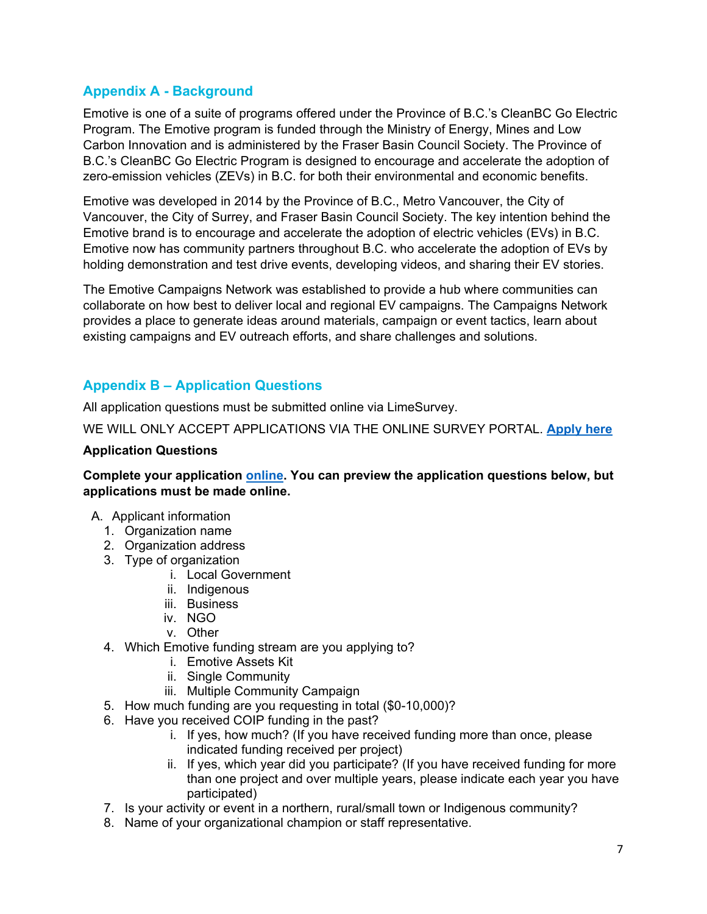# **Appendix A - Background**

Emotive is one of a suite of programs offered under the Province of B.C.'s CleanBC Go Electric Program. The Emotive program is funded through the Ministry of Energy, Mines and Low Carbon Innovation and is administered by the Fraser Basin Council Society. The Province of B.C.'s CleanBC Go Electric Program is designed to encourage and accelerate the adoption of zero-emission vehicles (ZEVs) in B.C. for both their environmental and economic benefits.

Emotive was developed in 2014 by the Province of B.C., Metro Vancouver, the City of Vancouver, the City of Surrey, and Fraser Basin Council Society. The key intention behind the Emotive brand is to encourage and accelerate the adoption of electric vehicles (EVs) in B.C. Emotive now has community partners throughout B.C. who accelerate the adoption of EVs by holding demonstration and test drive events, developing videos, and sharing their EV stories.

The Emotive Campaigns Network was established to provide a hub where communities can collaborate on how best to deliver local and regional EV campaigns. The Campaigns Network provides a place to generate ideas around materials, campaign or event tactics, learn about existing campaigns and EV outreach efforts, and share challenges and solutions.

# **Appendix B – Application Questions**

All application questions must be submitted online via LimeSurvey.

WE WILL ONLY ACCEPT APPLICATIONS VIA THE ONLINE SURVEY PORTAL. **[Apply here](https://fraserbasin.limequery.com/634959?lang=en)**

#### **Application Questions**

**Complete your application [online.](https://fraserbasin.limequery.com/634959?lang=en) You can preview the application questions below, but applications must be made online.** 

#### A. Applicant information

- 1. Organization name
- 2. Organization address
- 3. Type of organization
	- i. Local Government
	- ii. Indigenous
	- iii. Business
	- iv. NGO
	- v. Other
- 4. Which Emotive funding stream are you applying to?
	- i. Emotive Assets Kit
	- ii. Single Community
	- iii. Multiple Community Campaign
- 5. How much funding are you requesting in total (\$0-10,000)?
- 6. Have you received COIP funding in the past?
	- i. If yes, how much? (If you have received funding more than once, please indicated funding received per project)
	- ii. If yes, which year did you participate? (If you have received funding for more than one project and over multiple years, please indicate each year you have participated)
- 7. Is your activity or event in a northern, rural/small town or Indigenous community?
- 8. Name of your organizational champion or staff representative.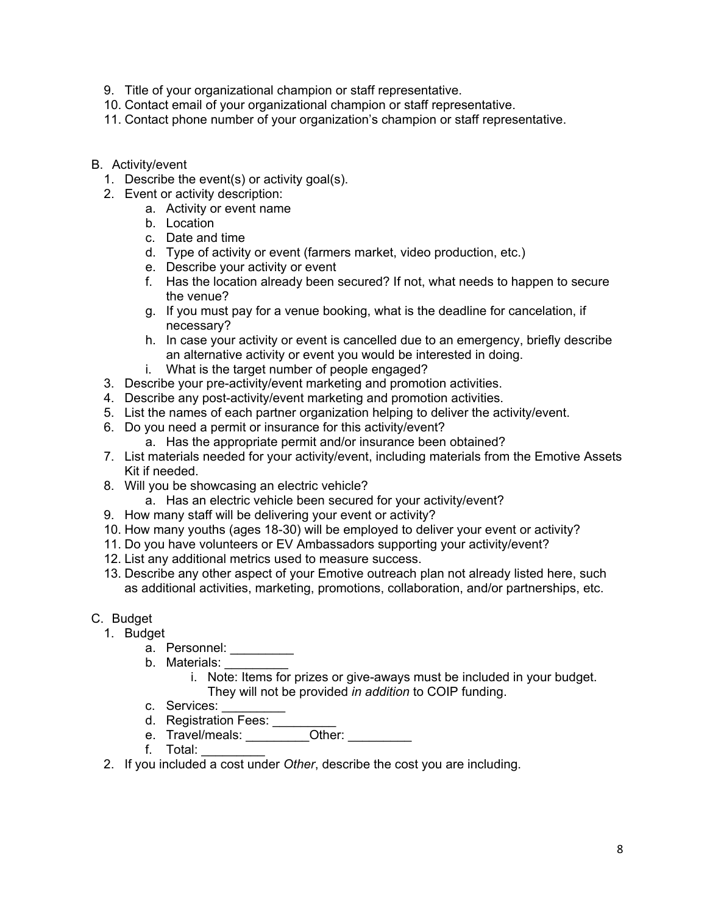- 9. Title of your organizational champion or staff representative.
- 10. Contact email of your organizational champion or staff representative.
- 11. Contact phone number of your organization's champion or staff representative.
- B. Activity/event
	- 1. Describe the event(s) or activity goal(s).
	- 2. Event or activity description:
		- a. Activity or event name
		- b. Location
		- c. Date and time
		- d. Type of activity or event (farmers market, video production, etc.)
		- e. Describe your activity or event
		- f. Has the location already been secured? If not, what needs to happen to secure the venue?
		- g. If you must pay for a venue booking, what is the deadline for cancelation, if necessary?
		- h. In case your activity or event is cancelled due to an emergency, briefly describe an alternative activity or event you would be interested in doing.
		- i. What is the target number of people engaged?
	- 3. Describe your pre-activity/event marketing and promotion activities.
	- 4. Describe any post-activity/event marketing and promotion activities.
	- 5. List the names of each partner organization helping to deliver the activity/event.
	- 6. Do you need a permit or insurance for this activity/event?
		- a. Has the appropriate permit and/or insurance been obtained?
	- 7. List materials needed for your activity/event, including materials from the Emotive Assets Kit if needed.
	- 8. Will you be showcasing an electric vehicle?
		- a. Has an electric vehicle been secured for your activity/event?
	- 9. How many staff will be delivering your event or activity?
	- 10. How many youths (ages 18-30) will be employed to deliver your event or activity?
	- 11. Do you have volunteers or EV Ambassadors supporting your activity/event?
	- 12. List any additional metrics used to measure success.
	- 13. Describe any other aspect of your Emotive outreach plan not already listed here, such as additional activities, marketing, promotions, collaboration, and/or partnerships, etc.
- C. Budget
	- 1. Budget
		- a. Personnel:
		- b. Materials:
			- i. Note: Items for prizes or give-aways must be included in your budget. They will not be provided *in addition* to COIP funding.
		- c. Services:
		- d. Registration Fees:
		- e. Travel/meals: \_\_\_\_\_\_\_\_\_\_\_Other:
		- f. Total:
	- 2. If you included a cost under *Other*, describe the cost you are including.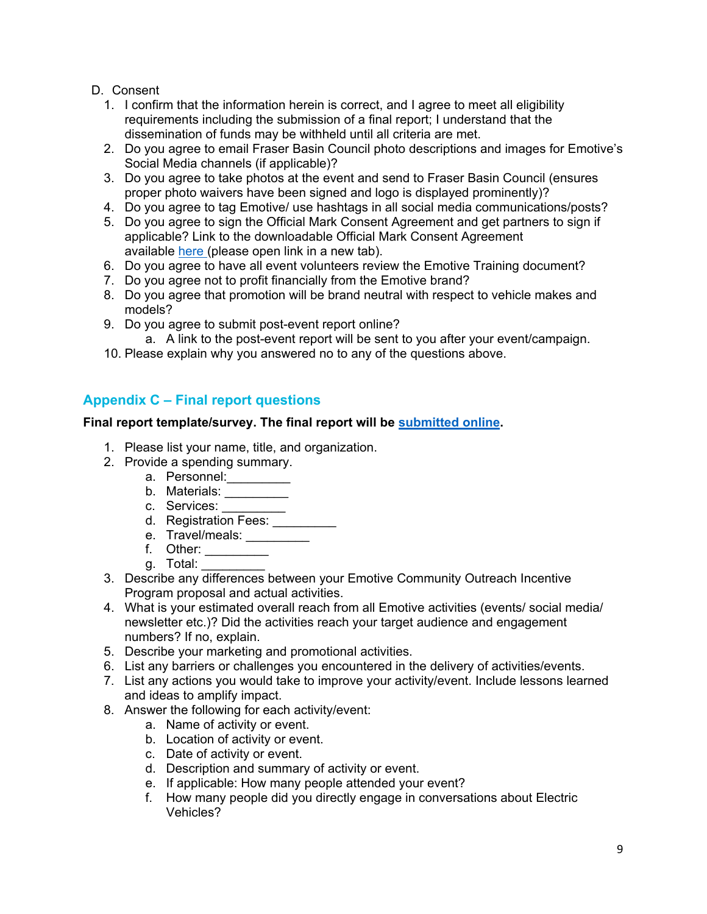### D. Consent

- 1. I confirm that the information herein is correct, and I agree to meet all eligibility requirements including the submission of a final report; I understand that the dissemination of funds may be withheld until all criteria are met.
- 2. Do you agree to email Fraser Basin Council photo descriptions and images for Emotive's Social Media channels (if applicable)?
- 3. Do you agree to take photos at the event and send to Fraser Basin Council (ensures proper photo waivers have been signed and logo is displayed prominently)?
- 4. Do you agree to tag Emotive/ use hashtags in all social media communications/posts?
- 5. Do you agree to sign the Official Mark Consent Agreement and get partners to sign if applicable? Link to the downloadable Official Mark Consent Agreement available [here](https://pluginbc.ca/wp/wp-content/uploads/2018/07/FINAL-2018-07-25-Emotive-Official-Mark-Consent-Agreement.pdf) (please open link in a new tab).
- 6. Do you agree to have all event volunteers review the Emotive Training document?
- 7. Do you agree not to profit financially from the Emotive brand?
- 8. Do you agree that promotion will be brand neutral with respect to vehicle makes and models?
- 9. Do you agree to submit post-event report online?
	- a. A link to the post-event report will be sent to you after your event/campaign.
- 10. Please explain why you answered no to any of the questions above.

# **Appendix C – Final report questions**

### **Final report template/survey. The final report will be [submitted online.](https://fraserbasin.limequery.com/438923?lang=en)**

- 1. Please list your name, title, and organization.
- 2. Provide a spending summary.
	- a. Personnel: \_\_\_\_\_\_\_\_
	- b. Materials: \_\_\_\_\_\_\_\_\_
	- c. Services: \_\_\_\_\_\_\_\_
	- d. Registration Fees:
	- e. Travel/meals: \_\_\_\_\_\_\_\_\_
	- f. Other:
	- g. Total: \_\_\_\_\_\_\_\_\_
- 3. Describe any differences between your Emotive Community Outreach Incentive Program proposal and actual activities.
- 4. What is your estimated overall reach from all Emotive activities (events/ social media/ newsletter etc.)? Did the activities reach your target audience and engagement numbers? If no, explain.
- 5. Describe your marketing and promotional activities.
- 6. List any barriers or challenges you encountered in the delivery of activities/events.
- 7. List any actions you would take to improve your activity/event. Include lessons learned and ideas to amplify impact.
- 8. Answer the following for each activity/event:
	- a. Name of activity or event.
	- b. Location of activity or event.
	- c. Date of activity or event.
	- d. Description and summary of activity or event.
	- e. If applicable: How many people attended your event?
	- f. How many people did you directly engage in conversations about Electric Vehicles?